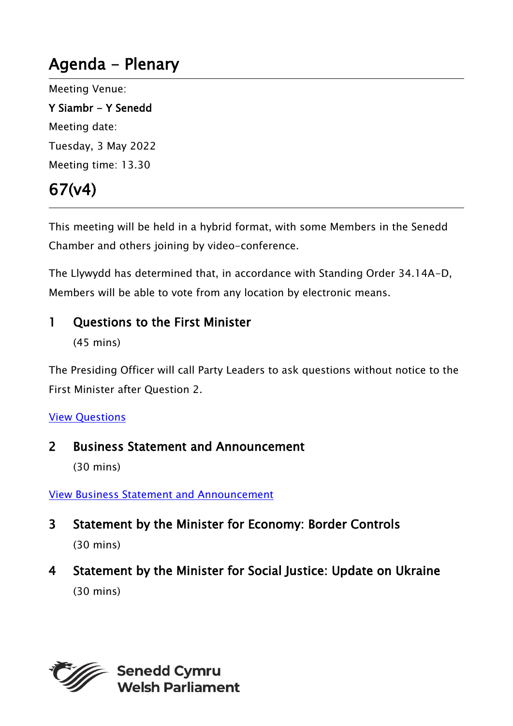# Agenda - Plenary

Meeting Venue:

Y Siambr - Y Senedd Meeting date: Tuesday, 3 May 2022 Meeting time: 13.30

# 67(v4)

This meeting will be held in a hybrid format, with some Members in the Senedd Chamber and others joining by video-conference.

The Llywydd has determined that, in accordance with Standing Order 34.14A-D, Members will be able to vote from any location by electronic means.

### 1 Ouestions to the First Minister

(45 mins)

The Presiding Officer will call Party Leaders to ask questions without notice to the First Minister after Question 2.

#### View [Questions](https://record.assembly.wales/OrderPaper/OralQuestions/03-05-2022/)

### 2 Business Statement and Announcement

(30 mins)

#### [View Business Statement and Announcement](https://senedd.wales/archive/business-statements/business-statement-and-announcement-03-05-2022/)

- 3 Statement by the Minister for Economy: Border Controls (30 mins)
- 4 Statement by the Minister for Social Justice: Update on Ukraine (30 mins)



**Senedd Cymru Welsh Parliament**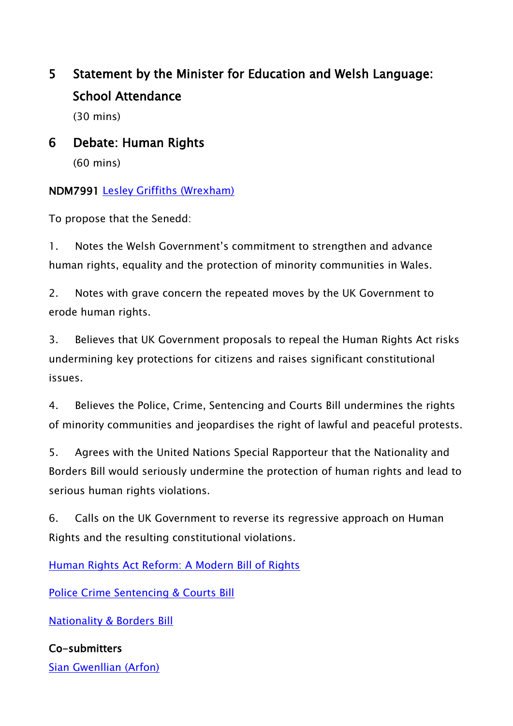## 5 Statement by the Minister for Education and Welsh Language: School Attendance

(30 mins)

## 6 Debate: Human Rights

(60 mins)

### NDM7991 [Lesley Griffiths \(Wrexham\)](https://business.senedd.wales/mgUserInfo.aspx?UID=154)

To propose that the Senedd:

1. Notes the Welsh Government's commitment to strengthen and advance human rights, equality and the protection of minority communities in Wales.

2. Notes with grave concern the repeated moves by the UK Government to erode human rights.

3. Believes that UK Government proposals to repeal the Human Rights Act risks undermining key protections for citizens and raises significant constitutional issues.

4. Believes the Police, Crime, Sentencing and Courts Bill undermines the rights of minority communities and jeopardises the right of lawful and peaceful protests.

5. Agrees with the United Nations Special Rapporteur that the Nationality and Borders Bill would seriously undermine the protection of human rights and lead to serious human rights violations.

6. Calls on the UK Government to reverse its regressive approach on Human Rights and the resulting constitutional violations.

[Human Rights Act Reform: A Modern Bill of Rights](https://www.gov.uk/government/consultations/human-rights-act-reform-a-modern-bill-of-rights)

[Police Crime Sentencing & Courts Bill](https://eur01.safelinks.protection.outlook.com/?url=https%3A%2F%2Fbills.parliament.uk%2Fbills%2F2839&data=05%7C01%7CHelen.Carey%40gov.wales%7C6d793e3daaae4e6b1e8708da269897e2%7Ca2cc36c592804ae78887d06dab89216b%7C0%7C0%7C637864734060743074%7CUnknown%7CTWFpbGZsb3d8eyJWIjoiMC4wLjAwMDAiLCJQIjoiV2luMzIiLCJBTiI6Ik1haWwiLCJXVCI6Mn0%3D%7C3000%7C%7C%7C&sdata=knPCV3NsBsGkITGNFkrVcYnFP7HuDYYGITATC7PWov4%3D&reserved=0)

[Nationality & Borders Bill](https://eur01.safelinks.protection.outlook.com/?url=https%3A%2F%2Fbills.parliament.uk%2Fbills%2F3023&data=05%7C01%7CHelen.Carey%40gov.wales%7C6d793e3daaae4e6b1e8708da269897e2%7Ca2cc36c592804ae78887d06dab89216b%7C0%7C0%7C637864734060743074%7CUnknown%7CTWFpbGZsb3d8eyJWIjoiMC4wLjAwMDAiLCJQIjoiV2luMzIiLCJBTiI6Ik1haWwiLCJXVCI6Mn0%3D%7C3000%7C%7C%7C&sdata=2cSk4EzSpdR%2Fje5UYA46j1SmL1Vb%2BZ1ufLmQuGuQpMc%3D&reserved=0)

## Co-submitters

[Sian Gwenllian \(Arfon\)](https://business.senedd.wales/mgUserInfo.aspx?UID=4981)